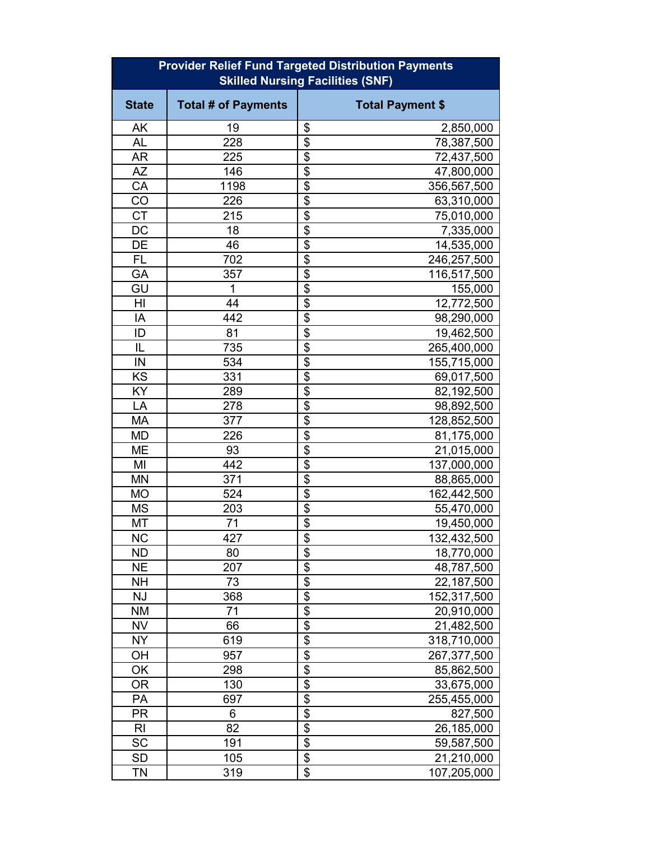| <b>Provider Relief Fund Targeted Distribution Payments</b><br><b>Skilled Nursing Facilities (SNF)</b> |                            |                                          |  |  |
|-------------------------------------------------------------------------------------------------------|----------------------------|------------------------------------------|--|--|
| <b>State</b>                                                                                          | <b>Total # of Payments</b> | <b>Total Payment \$</b>                  |  |  |
| AK                                                                                                    | 19                         | \$<br>2,850,000                          |  |  |
| <b>AL</b>                                                                                             | 228                        | $\overline{\$}$<br>78,387,500            |  |  |
| <b>AR</b>                                                                                             | 225                        | \$<br>72,437,500                         |  |  |
| <b>AZ</b>                                                                                             | 146                        | $\overline{\mathbf{S}}$<br>47,800,000    |  |  |
| CA                                                                                                    | 1198                       | $\overline{\$}$<br>356,567,500           |  |  |
| CO                                                                                                    | 226                        | $\overline{\mathfrak{s}}$<br>63,310,000  |  |  |
| <b>CT</b>                                                                                             | 215                        | $\overline{\$}$<br>75,010,000            |  |  |
| DC                                                                                                    | 18                         | $\overline{\$}$<br>7,335,000             |  |  |
| DE                                                                                                    | 46                         | \$<br>14,535,000                         |  |  |
| <b>FL</b>                                                                                             | 702                        | $\overline{\mathfrak{s}}$<br>246,257,500 |  |  |
| GA                                                                                                    | 357                        | $\overline{\mathbf{S}}$<br>116,517,500   |  |  |
| GU                                                                                                    | 1                          | $\overline{\$}$<br>155,000               |  |  |
| H <sub>l</sub>                                                                                        | 44                         | $\overline{\$}$<br>12,772,500            |  |  |
| IA                                                                                                    | 442                        | $\overline{\$}$<br>98,290,000            |  |  |
| ID                                                                                                    | 81                         | $\overline{\$}$<br>19,462,500            |  |  |
| IL                                                                                                    | 735                        | \$<br>265,400,000                        |  |  |
| IN                                                                                                    | 534                        | $\overline{\$}$<br>155,715,000           |  |  |
| KS                                                                                                    | 331                        | \$<br>69,017,500                         |  |  |
| KY                                                                                                    | 289                        | $\overline{\mathbf{S}}$<br>82,192,500    |  |  |
| LA                                                                                                    | 278                        | $\overline{\mathbf{S}}$<br>98,892,500    |  |  |
| <b>MA</b>                                                                                             | 377                        | $\overline{\mathbf{S}}$<br>128,852,500   |  |  |
| <b>MD</b>                                                                                             | 226                        | \$<br>81,175,000                         |  |  |
| <b>ME</b>                                                                                             | 93                         | $\overline{\$}$<br>21,015,000            |  |  |
| MI                                                                                                    | 442                        | $\overline{\$}$<br>137,000,000           |  |  |
| <b>MN</b>                                                                                             | 371                        | $\overline{\$}$<br>88,865,000            |  |  |
| <b>MO</b>                                                                                             | 524                        | \$<br>162,442,500                        |  |  |
| <b>MS</b>                                                                                             | 203                        | $\overline{\mathbf{S}}$<br>55,470,000    |  |  |
| MT                                                                                                    | 71                         | $\overline{\$}$<br>19,450,000            |  |  |
| ΝC                                                                                                    | 427                        | \$<br>132,432,500                        |  |  |
| <b>ND</b>                                                                                             | 80                         | \$<br>18,770,000                         |  |  |
| <b>NE</b>                                                                                             | 207                        | \$<br>48,787,500                         |  |  |
| <b>NH</b>                                                                                             | 73                         | \$<br>22,187,500                         |  |  |
| <b>NJ</b>                                                                                             | 368                        | $\overline{\$}$<br>152,317,500           |  |  |
| <b>NM</b>                                                                                             | 71                         | $\overline{\$}$<br>20,910,000            |  |  |
| <b>NV</b>                                                                                             | 66                         | $\overline{\$}$<br>21,482,500            |  |  |
| <b>NY</b>                                                                                             | 619                        | \$<br>318,710,000                        |  |  |
| OH                                                                                                    | 957                        | $\overline{\mathbf{S}}$<br>267,377,500   |  |  |
| OK                                                                                                    | 298                        | $\overline{\$}$<br>85,862,500            |  |  |
| 0R                                                                                                    | 130                        | $\overline{\mathbf{S}}$<br>33,675,000    |  |  |
| PA                                                                                                    | 697                        | $\overline{\$}$<br>255,455,000           |  |  |
| PR                                                                                                    | 6                          | $\overline{\mathbf{e}}$<br>827,500       |  |  |
| <b>RI</b>                                                                                             | 82                         | \$<br>26,185,000                         |  |  |
| <b>SC</b>                                                                                             | 191                        | $\overline{\$}$<br>59,587,500            |  |  |
| <b>SD</b>                                                                                             | 105                        | $\overline{\$}$<br>21,210,000            |  |  |
| TN                                                                                                    | 319                        | \$<br>107,205,000                        |  |  |